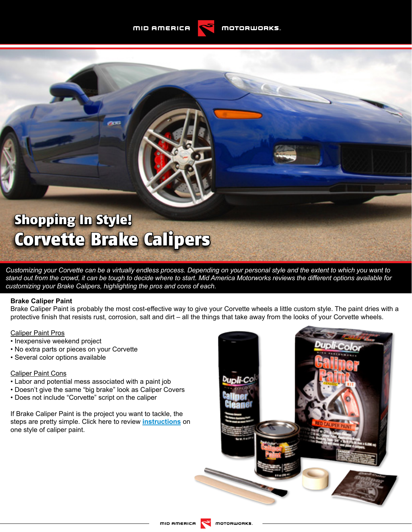MID AMERICA

# Shopping In Style! Corvette Brake Calipers

*Customizing your Corvette can be a virtually endless process. Depending on your personal style and the extent to which you want to stand out from the crowd, it can be tough to decide where to start. Mid America Motorworks reviews the different options available for customizing your Brake Calipers, highlighting the pros and cons of each.* 

#### **Brake Caliper Paint**

Brake Caliper Paint is probably the most cost-effective way to give your Corvette wheels a little custom style. The paint dries with a protective finish that resists rust, corrosion, salt and dirt – all the things that take away from the looks of your Corvette wheels.

## Caliper Paint Pros

- Inexpensive weekend project
- No extra parts or pieces on your Corvette
- Several color options available

#### Caliper Paint Cons

- Labor and potential mess associated with a paint job
- Doesn't give the same "big brake" look as Caliper Covers
- Does not include "Corvette" script on the caliper

If Brake Caliper Paint is the project you want to tackle, the steps are pretty simple. Click here to review **[instructions](http://content.mamotorworksmedia.com/production/website/articlefiles/installfiles/114025_Caliper_Paint.pdf)** on one style of caliper paint.